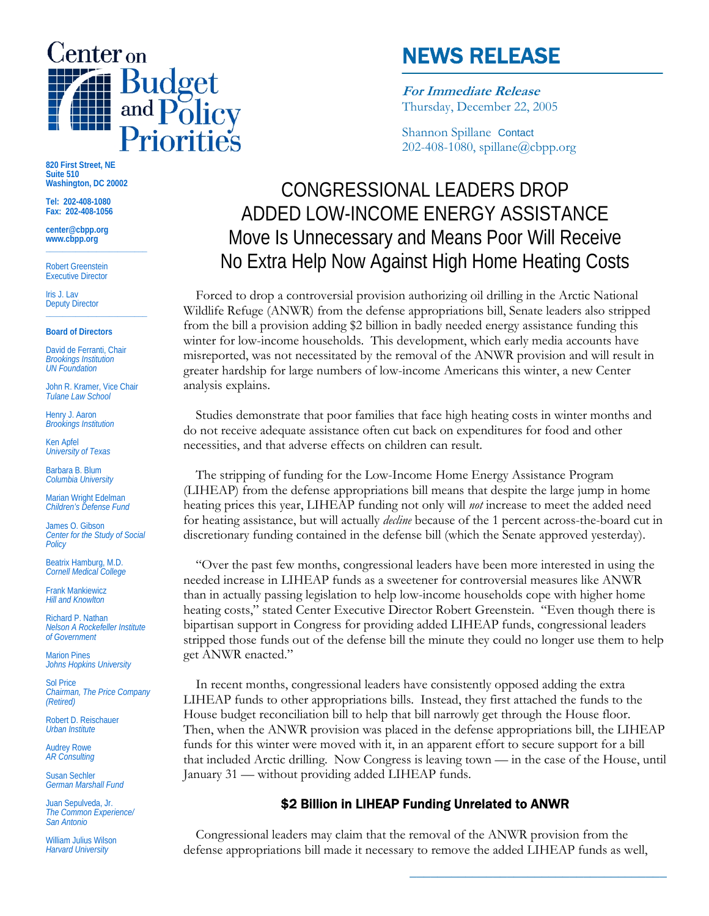

# NEWS RELEASE

**For Immediate Release** Thursday, December 22, 2005

Shannon SpillaneContact 202-408-1080, spillane@cbpp.org

## CONGRESSIONAL LEADERS DROP ADDED LOW-INCOME ENERGY ASSISTANCE Move Is Unnecessary and Means Poor Will Receive No Extra Help Now Against High Home Heating Costs

Forced to drop a controversial provision authorizing oil drilling in the Arctic National Wildlife Refuge (ANWR) from the defense appropriations bill, Senate leaders also stripped from the bill a provision adding \$2 billion in badly needed energy assistance funding this winter for low-income households. This development, which early media accounts have misreported, was not necessitated by the removal of the ANWR provision and will result in greater hardship for large numbers of low-income Americans this winter, a new Center analysis explains.

 Studies demonstrate that poor families that face high heating costs in winter months and do not receive adequate assistance often cut back on expenditures for food and other necessities, and that adverse effects on children can result.

 The stripping of funding for the Low-Income Home Energy Assistance Program (LIHEAP) from the defense appropriations bill means that despite the large jump in home heating prices this year, LIHEAP funding not only will *not* increase to meet the added need for heating assistance, but will actually *decline* because of the 1 percent across-the-board cut in discretionary funding contained in the defense bill (which the Senate approved yesterday).

 "Over the past few months, congressional leaders have been more interested in using the needed increase in LIHEAP funds as a sweetener for controversial measures like ANWR than in actually passing legislation to help low-income households cope with higher home heating costs," stated Center Executive Director Robert Greenstein. "Even though there is bipartisan support in Congress for providing added LIHEAP funds, congressional leaders stripped those funds out of the defense bill the minute they could no longer use them to help get ANWR enacted."

 In recent months, congressional leaders have consistently opposed adding the extra LIHEAP funds to other appropriations bills. Instead, they first attached the funds to the House budget reconciliation bill to help that bill narrowly get through the House floor. Then, when the ANWR provision was placed in the defense appropriations bill, the LIHEAP funds for this winter were moved with it, in an apparent effort to secure support for a bill that included Arctic drilling. Now Congress is leaving town — in the case of the House, until January 31 — without providing added LIHEAP funds.

### \$2 Billion in LIHEAP Funding Unrelated to ANWR

**\_\_\_\_\_\_\_\_\_\_\_\_\_\_\_\_\_\_\_\_\_\_\_\_\_\_\_\_\_\_\_\_\_\_\_\_\_** 

 Congressional leaders may claim that the removal of the ANWR provision from the defense appropriations bill made it necessary to remove the added LIHEAP funds as well,

**820 First Street, NE Suite 510 Washington, DC 20002** 

**Tel: 202-408-1080 Fax: 202-408-1056** 

**center@cbpp.org www.cbpp.org \_\_\_\_\_\_\_\_\_\_\_\_\_\_\_\_\_\_\_\_\_\_\_\_** 

Robert Greenstein Executive Director

Iris J. Lav Deputy Director **\_\_\_\_\_\_\_\_\_\_\_\_\_\_\_\_\_\_\_\_\_\_\_\_** 

#### **Board of Directors**

David de Ferranti, Chair *Brookings Institution UN Foundation* 

John R. Kramer, Vice Chair *Tulane Law School* 

Henry J. Aaron *Brookings Institution* 

Ken Apfel *University of Texas* 

Barbara B. Blum *Columbia University* 

Marian Wright Edelman *Children's Defense Fund* 

James O. Gibson *Center for the Study of Social Policy* 

Beatrix Hamburg, M.D. *Cornell Medical College* 

Frank Mankiewicz *Hill and Knowlton* 

Richard P. Nathan *Nelson A Rockefeller Institute of Government* 

Marion Pines *Johns Hopkins University* 

Sol Price *Chairman, The Price Company (Retired)* 

Robert D. Reischauer *Urban Institute* 

Audrey Rowe *AR Consulting* 

Susan Sechler *German Marshall Fund* 

Juan Sepulveda, Jr. *The Common Experience/ San Antonio* 

William Julius Wilson *Harvard University*